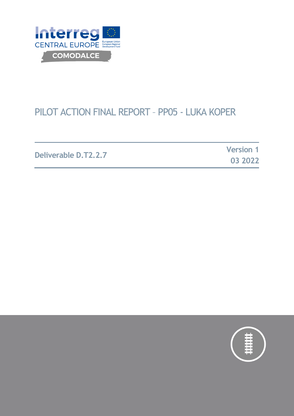

# PILOT ACTION FINAL REPORT – PP05 - LUKA KOPER

**Deliverable D.T2.2.7 Version 1**

**03 2022**

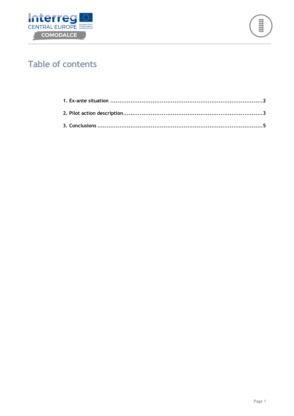



## **Table of contents**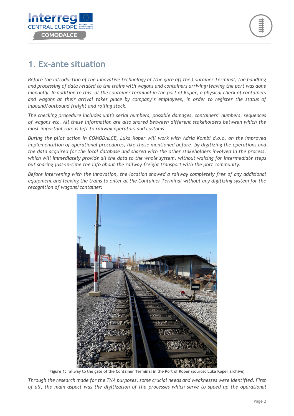

### **1. Ex-ante situation**

*Before the introduction of the innovative technology at (the gate of) the Container Terminal, the handling and processing of data related to the trains with wagons and containers arriving/leaving the port was done manually. In addition to this, at the container terminal in the port of Koper, a physical check of containers and wagons at their arrival takes place by company's employees, in order to register the status of inbound/outbound freight and rolling stock.* 

*The checking procedure includes unit's serial numbers, possible damages, containers' numbers, sequences of wagons etc. All these information are also shared between different stakeholders between which the most important role is left to railway operators and customs.* 

*During the pilot action in COMODALCE, Luka Koper will work with Adria Kombi d.o.o. on the improved implementation of operational procedures, like those mentioned before, by digitizing the operations and the data acquired for the local database and shared with the other stakeholders involved in the process, which will immediately provide all the data to the whole system, without waiting for intermediate steps but sharing just-in-time the info about the railway freight transport with the port community.* 

*Before intervening with the innovation, the location showed a railway completely free of any additional equipment and leaving the trains to enter at the Container Terminal without any digitizing system for the recognition of wagons/container:* 



**Figure 1: railway to the gate of the Container Terminal in the Port of Koper (source: Luka Koper archive)** 

*Through the research made for the TNA purposes, some crucial needs and weaknesses were identified. First of all, the main aspect was the digitization of the processes which serve to speed up the operational*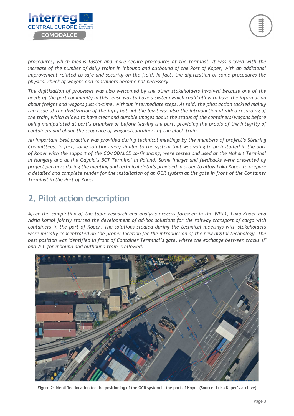

*procedures, which means faster and more secure procedures at the terminal. It was proved with the*  increase of the number of daily trains in inbound and outbound of the Port of Koper, with an additional *improvement related to safe and security on the field. In fact, the digitization of some procedures the physical check of wagons and containers became not necessary.* 

*The digitization of processes was also welcomed by the other stakeholders involved because one of the needs of the port community in this sense was to have a system which could allow to have the information about freight and wagons just-in-time, without intermediate steps. As said, the pilot action tackled mainly the issue of the digitization of the info, but not the least was also the introduction of video recording of the train, which allows to have clear and durable images about the status of the containers/wagons before being manipulated at port's premises or before leaving the port, providing the proofs of the integrity of containers and about the sequence of wagons/containers of the block-train.* 

*An important best practice was provided during technical meetings by the members of project's Steering Committees. In fact, some solutions very similar to the system that was going to be installed in the port of Koper with the support of the COMODALCE co-financing, were tested and used at the Mahart Terminal in Hungary and at the Gdynia's BCT Terminal in Poland. Some images and feedbacks were presented by project partners during the meeting and technical details provided in order to allow Luka Koper to prepare a detailed and complete tender for the installation of an OCR system at the gate in front of the Container Terminal in the Port of Koper.* 

#### **2. Pilot action description**

*After the completion of the table-research and analysis process foreseen in the WPT1, Luka Koper and Adria kombi jointly started the development of ad-hoc solutions for the railway transport of cargo with containers in the port of Koper. The solutions studied during the technical meetings with stakeholders were initially concentrated on the proper location for the introduction of the new digital technology. The best position was identified in front of Container Terminal's gate, where the exchange between tracks 1F and 25C for inbound and outbound train is allowed:* 



**Figure 2: identified location for the positioning of the OCR system in the port of Koper (Source: Luka Koper's archive)**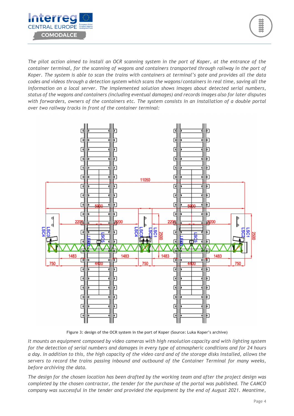



*The pilot action aimed to install an OCR scanning system in the port of Koper, at the entrance of the container terminal, for the scanning of wagons and containers transported through railway in the port of Koper. The system is able to scan the trains with containers at terminal's gate and provides all the data codes and videos through a detection system which scans the wagons/containers in real time, saving all the information on a local server. The implemented solution shows images about detected serial numbers, status of the wagons and containers (including eventual damages) and records images also for later disputes with forwarders, owners of the containers etc. The system consists in an installation of a double portal over two railway tracks in front of the container terminal:* 



**Figure 3: design of the OCR system in the port of Koper (Source: Luka Koper's archive)** 

*It mounts an equipment composed by video cameras with high resolution capacity and with lighting system for the detection of serial numbers and damages in every type of atmospheric conditions and for 24 hours a day. In addition to this, the high capacity of the video card and of the storage disks installed, allows the servers to record the trains passing inbound and outbound of the Container Terminal for many weeks, before archiving the data.* 

*The design for the chosen location has been drafted by the working team and after the project design was completed by the chosen contractor, the tender for the purchase of the portal was published. The CAMCO company was successful in the tender and provided the equipment by the end of August 2021. Meantime,*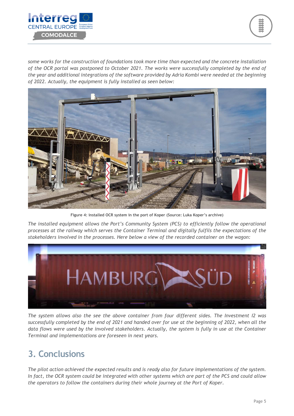



*some works for the construction of foundations took more time than expected and the concrete installation of the OCR portal was postponed to October 2021. The works were successfully completed by the end of the year and additional integrations of the software provided by Adria Kombi were needed at the beginning of 2022. Actually, the equipment is fully installed as seen below:* 



**Figure 4: installed OCR system in the port of Koper (Source: Luka Koper's archive)** 

*The installed equipment allows the Port's Community System (PCS) to efficiently follow the operational processes at the railway which serves the Container Terminal and digitally fulfils the expectations of the stakeholders involved in the processes. Here below a view of the recorded container on the wagon:* 



*The system allows also the see the above container from four different sides. The Investment I2 was successfully completed by the end of 2021 and handed over for use at the beginning of 2022, when all the data flows were used by the involved stakeholders. Actually, the system is fully in use at the Container Terminal and implementations are foreseen in next years.* 

### **3. Conclusions**

*The pilot action achieved the expected results and is ready also for future implementations of the system. In fact, the OCR system could be integrated with other systems which are part of the PCS and could allow the operators to follow the containers during their whole journey at the Port of Koper.*